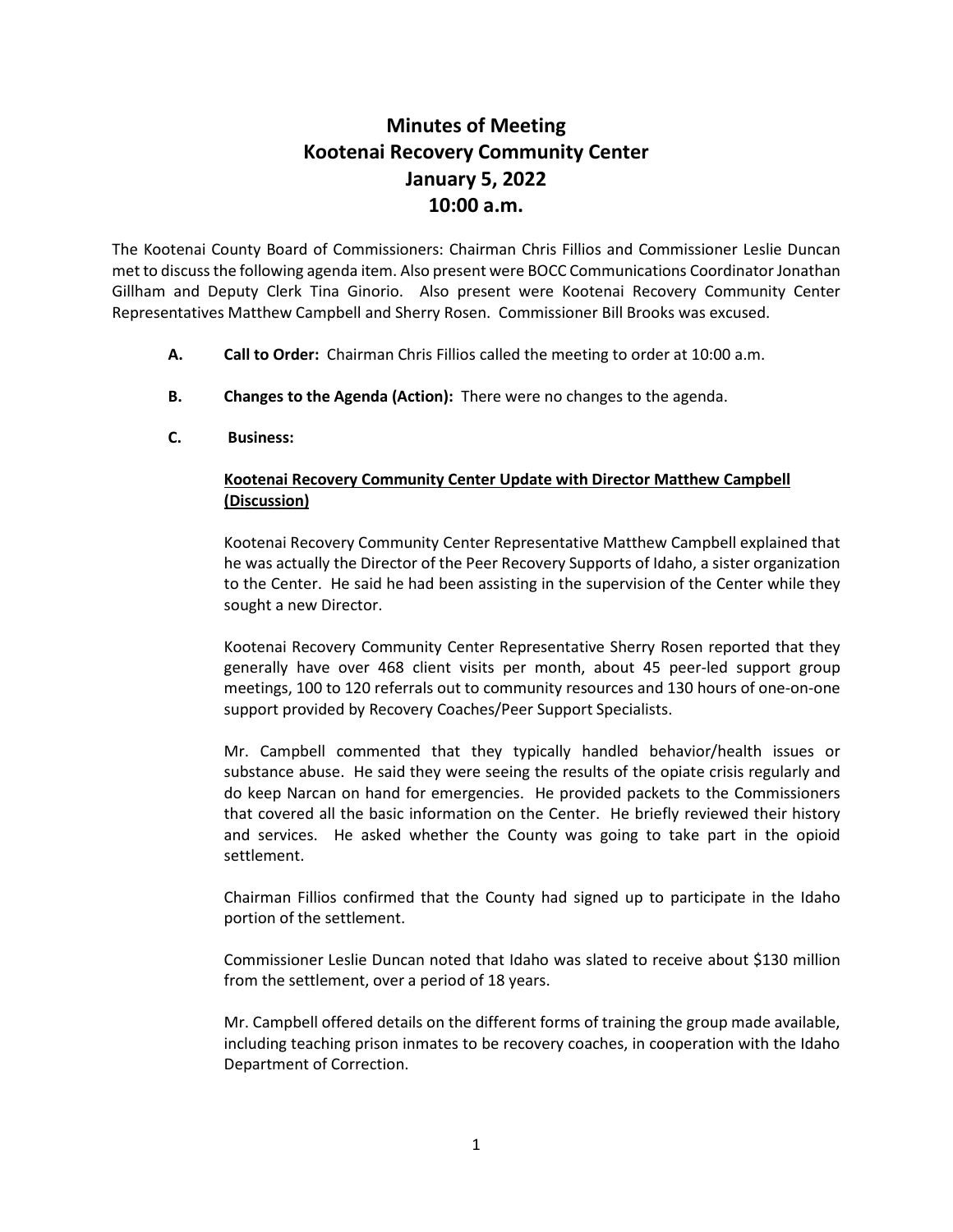## **Minutes of Meeting Kootenai Recovery Community Center January 5, 2022 10:00 a.m.**

The Kootenai County Board of Commissioners: Chairman Chris Fillios and Commissioner Leslie Duncan met to discuss the following agenda item. Also present were BOCC Communications Coordinator Jonathan Gillham and Deputy Clerk Tina Ginorio. Also present were Kootenai Recovery Community Center Representatives Matthew Campbell and Sherry Rosen. Commissioner Bill Brooks was excused.

- **A. Call to Order:** Chairman Chris Fillios called the meeting to order at 10:00 a.m.
- **B. Changes to the Agenda (Action):** There were no changes to the agenda.
- **C. Business:**

## **Kootenai Recovery Community Center Update with Director Matthew Campbell (Discussion)**

Kootenai Recovery Community Center Representative Matthew Campbell explained that he was actually the Director of the Peer Recovery Supports of Idaho, a sister organization to the Center. He said he had been assisting in the supervision of the Center while they sought a new Director.

Kootenai Recovery Community Center Representative Sherry Rosen reported that they generally have over 468 client visits per month, about 45 peer-led support group meetings, 100 to 120 referrals out to community resources and 130 hours of one-on-one support provided by Recovery Coaches/Peer Support Specialists.

Mr. Campbell commented that they typically handled behavior/health issues or substance abuse. He said they were seeing the results of the opiate crisis regularly and do keep Narcan on hand for emergencies. He provided packets to the Commissioners that covered all the basic information on the Center. He briefly reviewed their history and services. He asked whether the County was going to take part in the opioid settlement.

Chairman Fillios confirmed that the County had signed up to participate in the Idaho portion of the settlement.

Commissioner Leslie Duncan noted that Idaho was slated to receive about \$130 million from the settlement, over a period of 18 years.

Mr. Campbell offered details on the different forms of training the group made available, including teaching prison inmates to be recovery coaches, in cooperation with the Idaho Department of Correction.